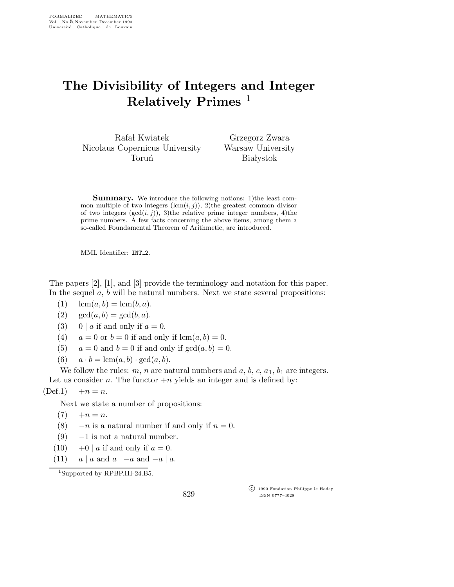## The Divisibility of Integers and Integer Relatively Primes  $<sup>1</sup>$ </sup>

Rafał Kwiatek Nicolaus Copernicus University Toruń

Grzegorz Zwara Warsaw University **Białystok** 

**Summary.** We introduce the following notions: 1) the least common multiple of two integers  $(\text{lcm}(i, j))$ , 2)the greatest common divisor of two integers  $(\gcd(i, j))$ , 3)the relative prime integer numbers, 4)the prime numbers. A few facts concerning the above items, among them a so-called Foundamental Theorem of Arithmetic, are introduced.

MML Identifier: INT\_2.

The papers [2], [1], and [3] provide the terminology and notation for this paper. In the sequel  $a, b$  will be natural numbers. Next we state several propositions:

- (1)  $\text{lcm}(a,b) = \text{lcm}(b,a).$
- (2)  $gcd(a, b) = gcd(b, a)$ .
- (3) 0 | a if and only if  $a = 0$ .
- (4)  $a = 0$  or  $b = 0$  if and only if  $lcm(a, b) = 0$ .
- (5)  $a = 0$  and  $b = 0$  if and only if  $gcd(a, b) = 0$ .
- (6)  $a \cdot b = \text{lcm}(a,b) \cdot \text{gcd}(a,b)$ .

We follow the rules: m, n are natural numbers and  $a, b, c, a_1, b_1$  are integers. Let us consider n. The functor  $+n$  yields an integer and is defined by:

 $(Def.1) + n = n.$ 

Next we state a number of propositions:

- $(7) + n = n.$
- (8)  $-n$  is a natural number if and only if  $n = 0$ .
- $(9)$  -1 is not a natural number.
- (10)  $+0$  | a if and only if  $a = 0$ .
- (11)  $a \mid a$  and  $a \mid -a$  and  $-a \mid a$ .

<sup>1</sup>Supported by RPBP.III-24.B5.

829

 c 1990 Fondation Philippe le Hodey ISSN 0777–4028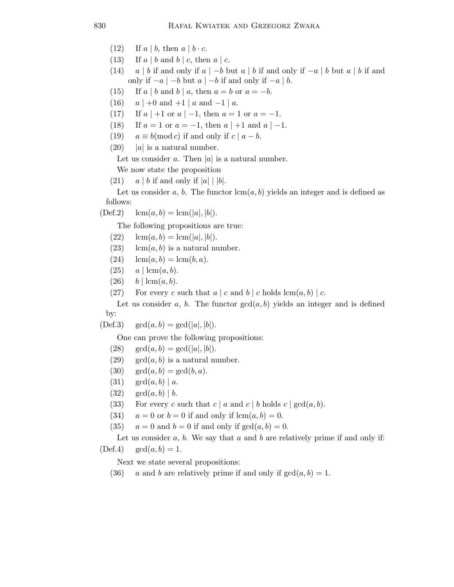- (12) If  $a \mid b$ , then  $a \mid b \cdot c$ .
- (13) If  $a \mid b$  and  $b \mid c$ , then  $a \mid c$ .
- (14) a | b if and only if  $a \mid -b$  but  $a \mid b$  if and only if  $-a \mid b$  but  $a \mid b$  if and only if  $-a$  | −b but  $a$  | −b if and only if −a | b.
- (15) If  $a \mid b$  and  $b \mid a$ , then  $a = b$  or  $a = -b$ .
- (16)  $a \mid +0$  and  $+1 \mid a$  and  $-1 \mid a$ .
- (17) If  $a \mid +1$  or  $a \mid -1$ , then  $a = 1$  or  $a = -1$ .
- (18) If  $a = 1$  or  $a = -1$ , then  $a \mid +1$  and  $a \mid -1$ .
- (19)  $a \equiv b \pmod{c}$  if and only if  $c \mid a b$ .
- $(20)$  |a| is a natural number.

Let us consider a. Then  $|a|$  is a natural number.

We now state the proposition

(21)  $a \mid b$  if and only if  $|a| \mid |b|$ .

Let us consider a, b. The functor  $lcm(a, b)$  yields an integer and is defined as follows:

 $(Def.2)$   $lcm(a,b) = lcm(|a|, |b|).$ 

The following propositions are true:

- $(22)$  lcm $(a,b) =$ lcm $(|a|, |b|)$ .
- (23) lcm( $a, b$ ) is a natural number.
- (24)  $\text{lcm}(a,b) = \text{lcm}(b,a).$
- $(25)$  a | lcm $(a, b)$ .
- $(26)$  b  $\vert$  lcm $(a,b)$ .

(27) For every c such that  $a | c$  and  $b | c$  holds  $\text{lcm}(a, b) | c$ .

Let us consider a, b. The functor  $gcd(a, b)$  yields an integer and is defined by:

 $(Def.3) \quad \gcd(a,b) = \gcd(|a|,|b|).$ 

One can prove the following propositions:

- (28)  $gcd(a, b) = gcd(|a|, |b|).$
- $(29) \quad \gcd(a, b)$  is a natural number.
- (30)  $gcd(a, b) = gcd(b, a)$ .
- (31)  $gcd(a, b) | a$ .
- $(32) \ \gcd(a, b) \ | b.$
- (33) For every c such that  $c \mid a$  and  $c \mid b$  holds  $c \mid \gcd(a, b)$ .
- (34)  $a = 0$  or  $b = 0$  if and only if  $lcm(a, b) = 0$ .
- (35)  $a = 0$  and  $b = 0$  if and only if  $gcd(a, b) = 0$ .

Let us consider a, b. We say that a and b are relatively prime if and only if:  $(Def.4) \quad \gcd(a, b) = 1.$ 

Next we state several propositions:

(36) a and b are relatively prime if and only if  $gcd(a, b) = 1$ .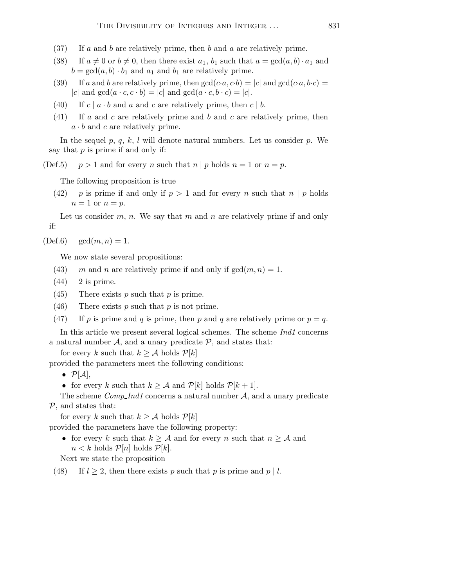- $(37)$  If a and b are relatively prime, then b and a are relatively prime.
- (38) If  $a \neq 0$  or  $b \neq 0$ , then there exist  $a_1, b_1$  such that  $a = \gcd(a, b) \cdot a_1$  and  $b = \gcd(a, b) \cdot b_1$  and  $a_1$  and  $b_1$  are relatively prime.
- (39) If a and b are relatively prime, then  $gcd(c \cdot a, c \cdot b) = |c|$  and  $gcd(c \cdot a, b \cdot c) =$ |c| and  $gcd(a \cdot c, c \cdot b) = |c|$  and  $gcd(a \cdot c, b \cdot c) = |c|$ .
- (40) If  $c \mid a \cdot b$  and a and c are relatively prime, then  $c \mid b$ .
- (41) If a and c are relatively prime and b and c are relatively prime, then  $a \cdot b$  and c are relatively prime.

In the sequel p, q, k, l will denote natural numbers. Let us consider p. We say that  $p$  is prime if and only if:

(Def.5)  $p > 1$  and for every n such that  $n \mid p$  holds  $n = 1$  or  $n = p$ .

The following proposition is true

(42) p is prime if and only if  $p > 1$  and for every n such that  $n \mid p$  holds  $n=1$  or  $n=p$ .

Let us consider  $m, n$ . We say that m and n are relatively prime if and only if:

 $(Def.6) \quad gcd(m, n) = 1.$ 

We now state several propositions:

- (43) m and n are relatively prime if and only if  $gcd(m, n) = 1$ .
- $(44)$  2 is prime.
- (45) There exists  $p$  such that  $p$  is prime.
- (46) There exists p such that p is not prime.
- (47) If p is prime and q is prime, then p and q are relatively prime or  $p = q$ .

In this article we present several logical schemes. The scheme Ind1 concerns a natural number  $A$ , and a unary predicate  $P$ , and states that:

for every k such that  $k \geq A$  holds  $\mathcal{P}[k]$ 

provided the parameters meet the following conditions:

- $\bullet$   $\mathcal{P}[\mathcal{A}],$
- for every k such that  $k \geq A$  and  $\mathcal{P}[k]$  holds  $\mathcal{P}[k+1]$ .

The scheme  $Comp\_Ind1$  concerns a natural number  $A$ , and a unary predicate P, and states that:

for every k such that  $k \geq A$  holds  $\mathcal{P}[k]$ 

provided the parameters have the following property:

• for every k such that  $k \geq A$  and for every n such that  $n \geq A$  and  $n < k$  holds  $\mathcal{P}[n]$  holds  $\mathcal{P}[k]$ .

Next we state the proposition

(48) If  $l \geq 2$ , then there exists p such that p is prime and p | l.